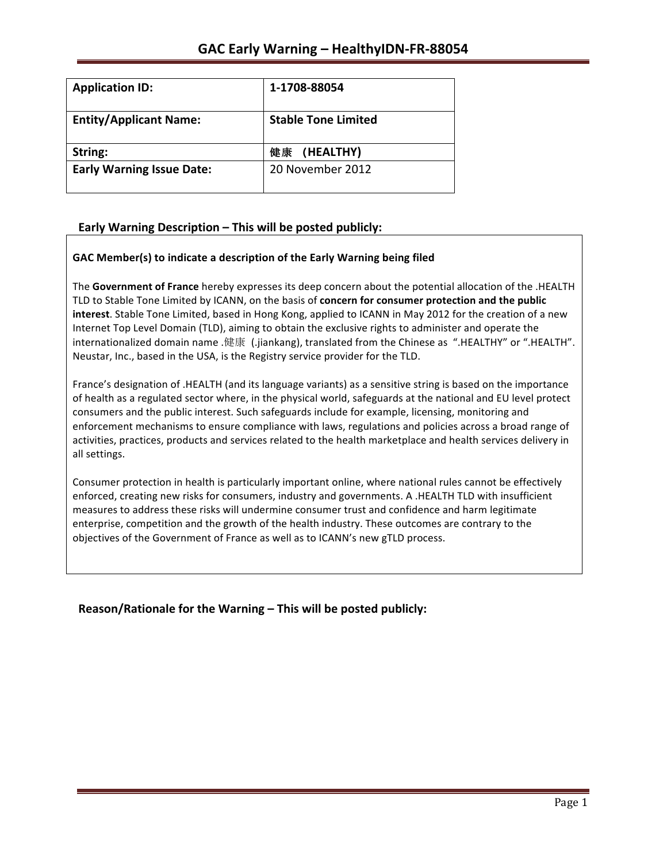| <b>Application ID:</b>           | 1-1708-88054               |
|----------------------------------|----------------------------|
| <b>Entity/Applicant Name:</b>    | <b>Stable Tone Limited</b> |
| String:                          | 健康 (HEALTHY)               |
| <b>Early Warning Issue Date:</b> | 20 November 2012           |

# Early Warning Description - This will be posted publicly:

## GAC Member(s) to indicate a description of the Early Warning being filed

The Government of France hereby expresses its deep concern about the potential allocation of the .HEALTH TLD to Stable Tone Limited by ICANN, on the basis of **concern for consumer protection and the public interest**. Stable Tone Limited, based in Hong Kong, applied to ICANN in May 2012 for the creation of a new Internet Top Level Domain (TLD), aiming to obtain the exclusive rights to administer and operate the internationalized domain name .健康 (.jiankang), translated from the Chinese as ".HEALTHY" or ".HEALTH". Neustar, Inc., based in the USA, is the Registry service provider for the TLD.

France's designation of .HEALTH (and its language variants) as a sensitive string is based on the importance of health as a regulated sector where, in the physical world, safeguards at the national and EU level protect consumers and the public interest. Such safeguards include for example, licensing, monitoring and enforcement mechanisms to ensure compliance with laws, regulations and policies across a broad range of activities, practices, products and services related to the health marketplace and health services delivery in all settings.

Consumer protection in health is particularly important online, where national rules cannot be effectively enforced, creating new risks for consumers, industry and governments. A .HEALTH TLD with insufficient measures to address these risks will undermine consumer trust and confidence and harm legitimate enterprise, competition and the growth of the health industry. These outcomes are contrary to the objectives of the Government of France as well as to ICANN's new gTLD process.

**Reason/Rationale for the Warning – This will be posted publicly:**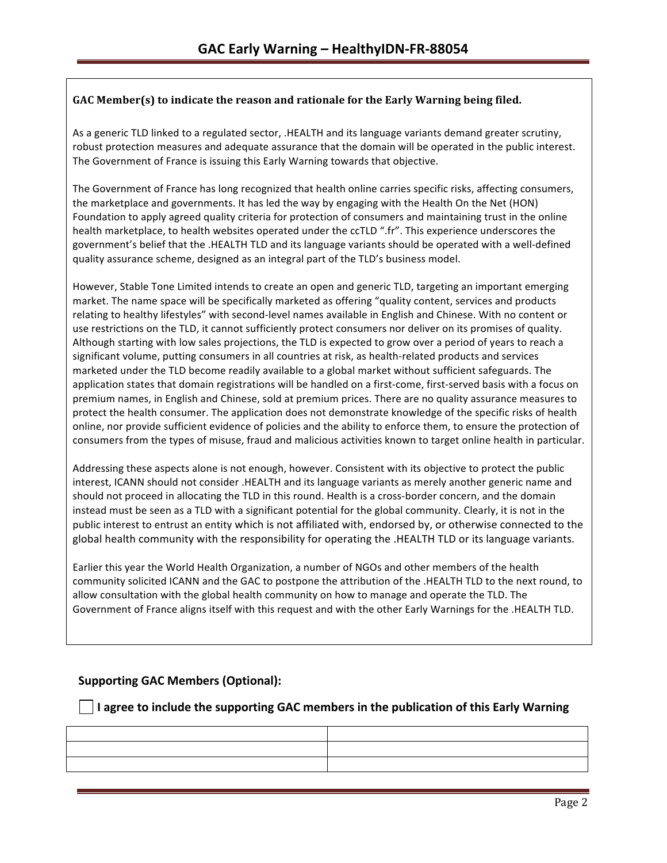## GAC Member(s) to indicate the reason and rationale for the Early Warning being filed.

As a generic TLD linked to a regulated sector, .HEALTH and its language variants demand greater scrutiny, robust protection measures and adequate assurance that the domain will be operated in the public interest. The Government of France is issuing this Early Warning towards that objective.

The Government of France has long recognized that health online carries specific risks, affecting consumers, the marketplace and governments. It has led the way by engaging with the Health On the Net (HON) Foundation to apply agreed quality criteria for protection of consumers and maintaining trust in the online health marketplace, to health websites operated under the ccTLD ".fr". This experience underscores the government's belief that the .HEALTH TLD and its language variants should be operated with a well-defined quality assurance scheme, designed as an integral part of the TLD's business model.

However, Stable Tone Limited intends to create an open and generic TLD, targeting an important emerging market. The name space will be specifically marketed as offering "quality content, services and products relating to healthy lifestyles" with second-level names available in English and Chinese. With no content or use restrictions on the TLD, it cannot sufficiently protect consumers nor deliver on its promises of quality. Although starting with low sales projections, the TLD is expected to grow over a period of years to reach a significant volume, putting consumers in all countries at risk, as health-related products and services marketed under the TLD become readily available to a global market without sufficient safeguards. The application states that domain registrations will be handled on a first-come, first-served basis with a focus on premium names, in English and Chinese, sold at premium prices. There are no quality assurance measures to protect the health consumer. The application does not demonstrate knowledge of the specific risks of health online, nor provide sufficient evidence of policies and the ability to enforce them, to ensure the protection of consumers from the types of misuse, fraud and malicious activities known to target online health in particular.

Addressing these aspects alone is not enough, however. Consistent with its objective to protect the public interest, ICANN should not consider .HEALTH and its language variants as merely another generic name and should not proceed in allocating the TLD in this round. Health is a cross-border concern, and the domain instead must be seen as a TLD with a significant potential for the global community. Clearly, it is not in the public interest to entrust an entity which is not affiliated with, endorsed by, or otherwise connected to the global health community with the responsibility for operating the .HEALTH TLD or its language variants.

Earlier this year the World Health Organization, a number of NGOs and other members of the health community solicited ICANN and the GAC to postpone the attribution of the .HEALTH TLD to the next round, to allow consultation with the global health community on how to manage and operate the TLD. The Government of France aligns itself with this request and with the other Early Warnings for the .HEALTH TLD.

# **Supporting GAC Members (Optional):**

**I** I agree to include the supporting GAC members in the publication of this Early Warning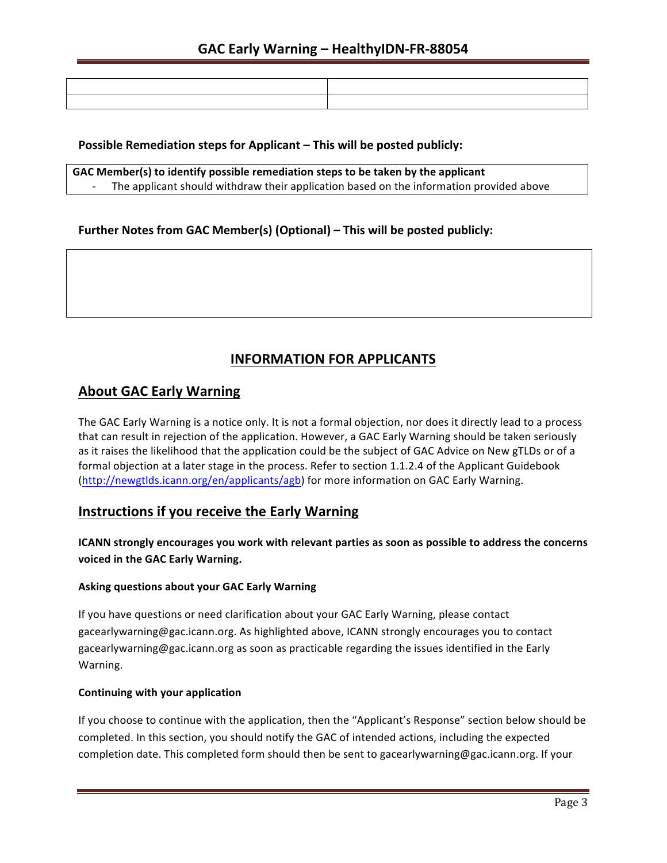### **Possible Remediation steps for Applicant – This will be posted publicly:**

**GAC** Member(s) to identify possible remediation steps to be taken by the applicant The applicant should withdraw their application based on the information provided above

## **Further Notes from GAC Member(s) (Optional)** – This will be posted publicly:

# **INFORMATION FOR APPLICANTS**

# **About GAC Early Warning**

The GAC Early Warning is a notice only. It is not a formal objection, nor does it directly lead to a process that can result in rejection of the application. However, a GAC Early Warning should be taken seriously as it raises the likelihood that the application could be the subject of GAC Advice on New gTLDs or of a formal objection at a later stage in the process. Refer to section 1.1.2.4 of the Applicant Guidebook (http://newgtlds.icann.org/en/applicants/agb) for more information on GAC Early Warning.

# **Instructions if you receive the Early Warning**

**ICANN** strongly encourages you work with relevant parties as soon as possible to address the concerns voiced in the GAC Early Warning.

#### **Asking questions about your GAC Early Warning**

If you have questions or need clarification about your GAC Early Warning, please contact gacearlywarning@gac.icann.org. As highlighted above, ICANN strongly encourages you to contact gacearlywarning@gac.icann.org as soon as practicable regarding the issues identified in the Early Warning. 

#### **Continuing with your application**

If you choose to continue with the application, then the "Applicant's Response" section below should be completed. In this section, you should notify the GAC of intended actions, including the expected completion date. This completed form should then be sent to gacearlywarning@gac.icann.org. If your